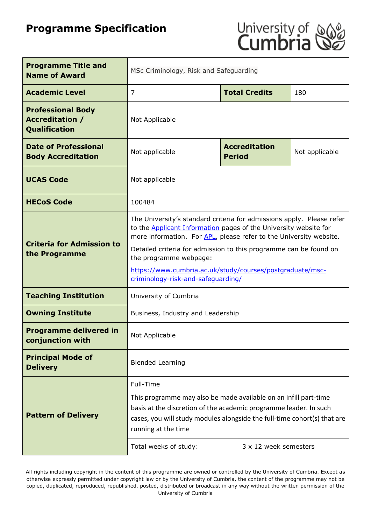# **Programme Specification**



| <b>Programme Title and</b><br><b>Name of Award</b>                         | MSc Criminology, Risk and Safeguarding                                                                                                                                                                                                                                                                                                                                                                                   |                                       |                |
|----------------------------------------------------------------------------|--------------------------------------------------------------------------------------------------------------------------------------------------------------------------------------------------------------------------------------------------------------------------------------------------------------------------------------------------------------------------------------------------------------------------|---------------------------------------|----------------|
| <b>Academic Level</b>                                                      | <b>Total Credits</b><br>$\overline{7}$<br>180                                                                                                                                                                                                                                                                                                                                                                            |                                       |                |
| <b>Professional Body</b><br><b>Accreditation /</b><br><b>Qualification</b> | Not Applicable                                                                                                                                                                                                                                                                                                                                                                                                           |                                       |                |
| <b>Date of Professional</b><br><b>Body Accreditation</b>                   | Not applicable                                                                                                                                                                                                                                                                                                                                                                                                           | <b>Accreditation</b><br><b>Period</b> | Not applicable |
| <b>UCAS Code</b>                                                           | Not applicable                                                                                                                                                                                                                                                                                                                                                                                                           |                                       |                |
| <b>HECoS Code</b>                                                          | 100484                                                                                                                                                                                                                                                                                                                                                                                                                   |                                       |                |
| <b>Criteria for Admission to</b><br>the Programme                          | The University's standard criteria for admissions apply. Please refer<br>to the <b>Applicant Information</b> pages of the University website for<br>more information. For APL, please refer to the University website.<br>Detailed criteria for admission to this programme can be found on<br>the programme webpage:<br>https://www.cumbria.ac.uk/study/courses/postgraduate/msc-<br>criminology-risk-and-safequarding/ |                                       |                |
| <b>Teaching Institution</b>                                                | University of Cumbria                                                                                                                                                                                                                                                                                                                                                                                                    |                                       |                |
| <b>Owning Institute</b>                                                    | Business, Industry and Leadership                                                                                                                                                                                                                                                                                                                                                                                        |                                       |                |
| <b>Programme delivered in</b><br>conjunction with                          | Not Applicable                                                                                                                                                                                                                                                                                                                                                                                                           |                                       |                |
| <b>Principal Mode of</b><br><b>Delivery</b>                                | <b>Blended Learning</b>                                                                                                                                                                                                                                                                                                                                                                                                  |                                       |                |
| <b>Pattern of Delivery</b>                                                 | Full-Time<br>This programme may also be made available on an infill part-time<br>basis at the discretion of the academic programme leader. In such<br>cases, you will study modules alongside the full-time cohort(s) that are<br>running at the time<br>3 x 12 week semesters<br>Total weeks of study:                                                                                                                  |                                       |                |

All rights including copyright in the content of this programme are owned or controlled by the University of Cumbria. Except as otherwise expressly permitted under copyright law or by the University of Cumbria, the content of the programme may not be copied, duplicated, reproduced, republished, posted, distributed or broadcast in any way without the written permission of the University of Cumbria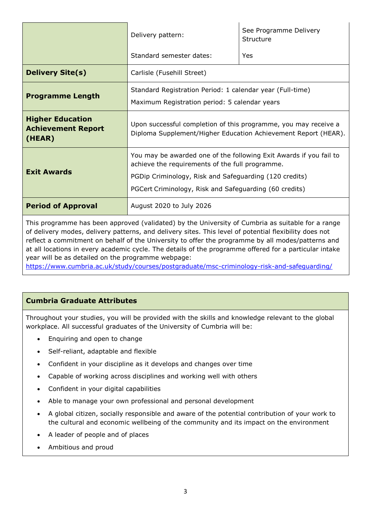|                                                                | Delivery pattern:                                                                                                                                                                                                                         | See Programme Delivery<br>Structure |
|----------------------------------------------------------------|-------------------------------------------------------------------------------------------------------------------------------------------------------------------------------------------------------------------------------------------|-------------------------------------|
|                                                                | Standard semester dates:                                                                                                                                                                                                                  | Yes                                 |
| <b>Delivery Site(s)</b>                                        | Carlisle (Fusehill Street)                                                                                                                                                                                                                |                                     |
| <b>Programme Length</b>                                        | Standard Registration Period: 1 calendar year (Full-time)<br>Maximum Registration period: 5 calendar years                                                                                                                                |                                     |
| <b>Higher Education</b><br><b>Achievement Report</b><br>(HEAR) | Upon successful completion of this programme, you may receive a<br>Diploma Supplement/Higher Education Achievement Report (HEAR).                                                                                                         |                                     |
| <b>Exit Awards</b>                                             | You may be awarded one of the following Exit Awards if you fail to<br>achieve the requirements of the full programme.<br>PGDip Criminology, Risk and Safeguarding (120 credits)<br>PGCert Criminology, Risk and Safeguarding (60 credits) |                                     |
| <b>Period of Approval</b>                                      | August 2020 to July 2026                                                                                                                                                                                                                  |                                     |

This programme has been approved (validated) by the University of Cumbria as suitable for a range of delivery modes, delivery patterns, and delivery sites. This level of potential flexibility does not reflect a commitment on behalf of the University to offer the programme by all modes/patterns and at all locations in every academic cycle. The details of the programme offered for a particular intake year will be as detailed on the programme webpage:

<https://www.cumbria.ac.uk/study/courses/postgraduate/msc-criminology-risk-and-safeguarding/>

# **Cumbria Graduate Attributes**

Throughout your studies, you will be provided with the skills and knowledge relevant to the global workplace. All successful graduates of the University of Cumbria will be:

- Enquiring and open to change
- Self-reliant, adaptable and flexible
- Confident in your discipline as it develops and changes over time
- Capable of working across disciplines and working well with others
- Confident in your digital capabilities
- Able to manage your own professional and personal development
- A global citizen, socially responsible and aware of the potential contribution of your work to the cultural and economic wellbeing of the community and its impact on the environment
- A leader of people and of places
- Ambitious and proud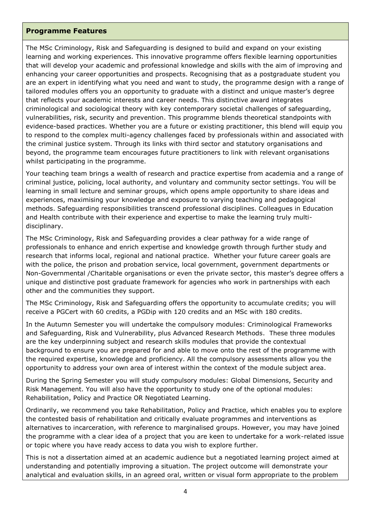#### **Programme Features**

The MSc Criminology, Risk and Safeguarding is designed to build and expand on your existing learning and working experiences. This innovative programme offers flexible learning opportunities that will develop your academic and professional knowledge and skills with the aim of improving and enhancing your career opportunities and prospects. Recognising that as a postgraduate student you are an expert in identifying what you need and want to study, the programme design with a range of tailored modules offers you an opportunity to graduate with a distinct and unique master's degree that reflects your academic interests and career needs. This distinctive award integrates criminological and sociological theory with key contemporary societal challenges of safeguarding, vulnerabilities, risk, security and prevention. This programme blends theoretical standpoints with evidence-based practices. Whether you are a future or existing practitioner, this blend will equip you to respond to the complex multi-agency challenges faced by professionals within and associated with the criminal justice system. Through its links with third sector and statutory organisations and beyond, the programme team encourages future practitioners to link with relevant organisations whilst participating in the programme.

Your teaching team brings a wealth of research and practice expertise from academia and a range of criminal justice, policing, local authority, and voluntary and community sector settings. You will be learning in small lecture and seminar groups, which opens ample opportunity to share ideas and experiences, maximising your knowledge and exposure to varying teaching and pedagogical methods. Safeguarding responsibilities transcend professional disciplines. Colleagues in Education and Health contribute with their experience and expertise to make the learning truly multidisciplinary.

The MSc Criminology, Risk and Safeguarding provides a clear pathway for a wide range of professionals to enhance and enrich expertise and knowledge growth through further study and research that informs local, regional and national practice. Whether your future career goals are with the police, the prison and probation service, local government, government departments or Non-Governmental /Charitable organisations or even the private sector, this master's degree offers a unique and distinctive post graduate framework for agencies who work in partnerships with each other and the communities they support.

The MSc Criminology, Risk and Safeguarding offers the opportunity to accumulate credits; you will receive a PGCert with 60 credits, a PGDip with 120 credits and an MSc with 180 credits.

In the Autumn Semester you will undertake the compulsory modules: Criminological Frameworks and Safeguarding, Risk and Vulnerability, plus Advanced Research Methods. These three modules are the key underpinning subject and research skills modules that provide the contextual background to ensure you are prepared for and able to move onto the rest of the programme with the required expertise, knowledge and proficiency. All the compulsory assessments allow you the opportunity to address your own area of interest within the context of the module subject area.

During the Spring Semester you will study compulsory modules: Global Dimensions, Security and Risk Management. You will also have the opportunity to study one of the optional modules: Rehabilitation, Policy and Practice OR Negotiated Learning.

Ordinarily, we recommend you take Rehabilitation, Policy and Practice, which enables you to explore the contested basis of rehabilitation and critically evaluate programmes and interventions as alternatives to incarceration, with reference to marginalised groups. However, you may have joined the programme with a clear idea of a project that you are keen to undertake for a work-related issue or topic where you have ready access to data you wish to explore further.

This is not a dissertation aimed at an academic audience but a negotiated learning project aimed at understanding and potentially improving a situation. The project outcome will demonstrate your analytical and evaluation skills, in an agreed oral, written or visual form appropriate to the problem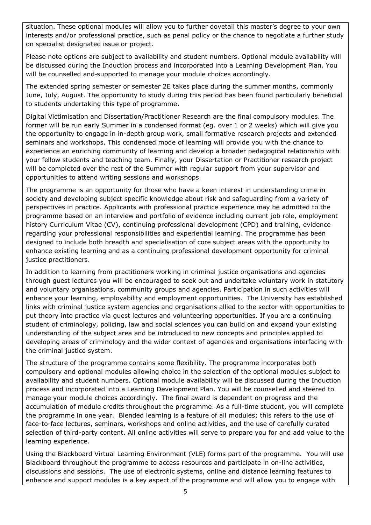situation. These optional modules will allow you to further dovetail this master's degree to your own interests and/or professional practice, such as penal policy or the chance to negotiate a further study on specialist designated issue or project.

Please note options are subject to availability and student numbers. Optional module availability will be discussed during the Induction process and incorporated into a Learning Development Plan. You will be counselled and-supported to manage your module choices accordingly.

The extended spring semester or semester 2E takes place during the summer months, commonly June, July, August. The opportunity to study during this period has been found particularly beneficial to students undertaking this type of programme.

Digital Victimisation and Dissertation/Practitioner Research are the final compulsory modules. The former will be run early Summer in a condensed format (eg. over 1 or 2 weeks) which will give you the opportunity to engage in in-depth group work, small formative research projects and extended seminars and workshops. This condensed mode of learning will provide you with the chance to experience an enriching community of learning and develop a broader pedagogical relationship with your fellow students and teaching team. Finally, your Dissertation or Practitioner research project will be completed over the rest of the Summer with regular support from your supervisor and opportunities to attend writing sessions and workshops.

The programme is an opportunity for those who have a keen interest in understanding crime in society and developing subject specific knowledge about risk and safeguarding from a variety of perspectives in practice. Applicants with professional practice experience may be admitted to the programme based on an interview and portfolio of evidence including current job role, employment history Curriculum Vitae (CV), continuing professional development (CPD) and training, evidence regarding your professional responsibilities and experiential learning. The programme has been designed to include both breadth and specialisation of core subject areas with the opportunity to enhance existing learning and as a continuing professional development opportunity for criminal justice practitioners.

In addition to learning from practitioners working in criminal justice organisations and agencies through guest lectures you will be encouraged to seek out and undertake voluntary work in statutory and voluntary organisations, community groups and agencies. Participation in such activities will enhance your learning, employability and employment opportunities. The University has established links with criminal justice system agencies and organisations allied to the sector with opportunities to put theory into practice via guest lectures and volunteering opportunities. If you are a continuing student of criminology, policing, law and social sciences you can build on and expand your existing understanding of the subject area and be introduced to new concepts and principles applied to developing areas of criminology and the wider context of agencies and organisations interfacing with the criminal justice system.

The structure of the programme contains some flexibility. The programme incorporates both compulsory and optional modules allowing choice in the selection of the optional modules subject to availability and student numbers. Optional module availability will be discussed during the Induction process and incorporated into a Learning Development Plan. You will be counselled and steered to manage your module choices accordingly. The final award is dependent on progress and the accumulation of module credits throughout the programme. As a full-time student, you will complete the programme in one year. Blended learning is a feature of all modules; this refers to the use of face-to-face lectures, seminars, workshops and online activities, and the use of carefully curated selection of third-party content. All online activities will serve to prepare you for and add value to the learning experience.

Using the Blackboard Virtual Learning Environment (VLE) forms part of the programme. You will use Blackboard throughout the programme to access resources and participate in on-line activities, discussions and sessions. The use of electronic systems, online and distance learning features to enhance and support modules is a key aspect of the programme and will allow you to engage with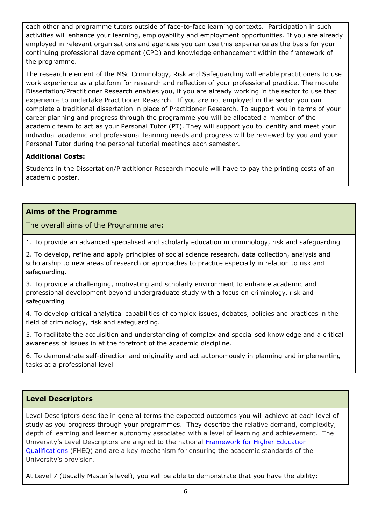each other and programme tutors outside of face-to-face learning contexts. Participation in such activities will enhance your learning, employability and employment opportunities. If you are already employed in relevant organisations and agencies you can use this experience as the basis for your continuing professional development (CPD) and knowledge enhancement within the framework of the programme.

The research element of the MSc Criminology, Risk and Safeguarding will enable practitioners to use work experience as a platform for research and reflection of your professional practice. The module Dissertation/Practitioner Research enables you, if you are already working in the sector to use that experience to undertake Practitioner Research. If you are not employed in the sector you can complete a traditional dissertation in place of Practitioner Research. To support you in terms of your career planning and progress through the programme you will be allocated a member of the academic team to act as your Personal Tutor (PT). They will support you to identify and meet your individual academic and professional learning needs and progress will be reviewed by you and your Personal Tutor during the personal tutorial meetings each semester.

## **Additional Costs:**

Students in the Dissertation/Practitioner Research module will have to pay the printing costs of an academic poster.

## **Aims of the Programme**

The overall aims of the Programme are:

1. To provide an advanced specialised and scholarly education in criminology, risk and safeguarding

2. To develop, refine and apply principles of social science research, data collection, analysis and scholarship to new areas of research or approaches to practice especially in relation to risk and safeguarding.

3. To provide a challenging, motivating and scholarly environment to enhance academic and professional development beyond undergraduate study with a focus on criminology, risk and safeguarding

4. To develop critical analytical capabilities of complex issues, debates, policies and practices in the field of criminology, risk and safeguarding.

5. To facilitate the acquisition and understanding of complex and specialised knowledge and a critical awareness of issues in at the forefront of the academic discipline.

6. To demonstrate self-direction and originality and act autonomously in planning and implementing tasks at a professional level

# **Level Descriptors**

Level Descriptors describe in general terms the expected outcomes you will achieve at each level of study as you progress through your programmes. They describe the relative demand, complexity, depth of learning and learner autonomy associated with a level of learning and achievement. The University's Level Descriptors are aligned to the national [Framework for Higher Education](http://www.qaa.ac.uk/en/Publications/Documents/qualifications-frameworks.pdf)  [Qualifications](http://www.qaa.ac.uk/en/Publications/Documents/qualifications-frameworks.pdf) (FHEQ) and are a key mechanism for ensuring the academic standards of the University's provision.

At Level 7 (Usually Master's level), you will be able to demonstrate that you have the ability: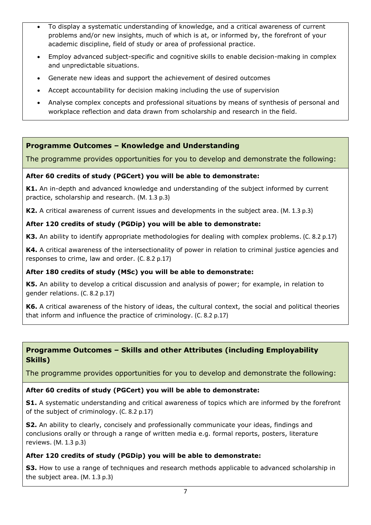- To display a systematic understanding of knowledge, and a critical awareness of current problems and/or new insights, much of which is at, or informed by, the forefront of your academic discipline, field of study or area of professional practice.
- Employ advanced subject-specific and cognitive skills to enable decision-making in complex and unpredictable situations.
- Generate new ideas and support the achievement of desired outcomes
- Accept accountability for decision making including the use of supervision
- Analyse complex concepts and professional situations by means of synthesis of personal and workplace reflection and data drawn from scholarship and research in the field.

## **Programme Outcomes – Knowledge and Understanding**

The programme provides opportunities for you to develop and demonstrate the following:

#### **After 60 credits of study (PGCert) you will be able to demonstrate:**

**K1.** An in-depth and advanced knowledge and understanding of the subject informed by current practice, scholarship and research. (M. 1.3 p.3)

**K2.** A critical awareness of current issues and developments in the subject area. (M. 1.3 p.3)

## **After 120 credits of study (PGDip) you will be able to demonstrate:**

**K3.** An ability to identify appropriate methodologies for dealing with complex problems. (C. 8.2 p.17)

**K4.** A critical awareness of the intersectionality of power in relation to criminal justice agencies and responses to crime, law and order. (C. 8.2 p.17)

## **After 180 credits of study (MSc) you will be able to demonstrate:**

**K5.** An ability to develop a critical discussion and analysis of power; for example, in relation to gender relations. (C. 8.2 p.17)

**K6.** A critical awareness of the history of ideas, the cultural context, the social and political theories that inform and influence the practice of criminology. (C. 8.2 p.17)

# **Programme Outcomes – Skills and other Attributes (including Employability Skills)**

The programme provides opportunities for you to develop and demonstrate the following:

## **After 60 credits of study (PGCert) you will be able to demonstrate:**

**S1.** A systematic understanding and critical awareness of topics which are informed by the forefront of the subject of criminology. (C. 8.2 p.17)

**S2.** An ability to clearly, concisely and professionally communicate your ideas, findings and conclusions orally or through a range of written media e.g. formal reports, posters, literature reviews. (M. 1.3 p.3)

## **After 120 credits of study (PGDip) you will be able to demonstrate:**

**S3.** How to use a range of techniques and research methods applicable to advanced scholarship in the subject area. (M. 1.3 p.3)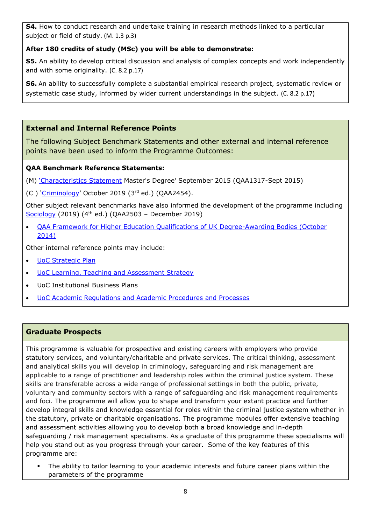**S4.** How to conduct research and undertake training in research methods linked to a particular subject or field of study. (M. 1.3 p.3)

# **After 180 credits of study (MSc) you will be able to demonstrate:**

**S5.** An ability to develop critical discussion and analysis of complex concepts and work independently and with some originality. (C. 8.2 p.17)

**S6.** An ability to successfully complete a substantial empirical research project, systematic review or systematic case study, informed by wider current understandings in the subject. (C. 8.2 p.17)

# **External and Internal Reference Points**

The following Subject Benchmark Statements and other external and internal reference points have been used to inform the Programme Outcomes:

## **QAA Benchmark Reference Statements:**

(M) ['Characteristics Statement](https://www.qaa.ac.uk/docs/qaa/quality-code/master) Master's Degree' September 2015 (QAA1317-Sept 2015)

(C) '[Criminology](https://www.qaa.ac.uk/docs/qaa/subject-benchmark-statements/subject-benchmark-statement-criminology.pdf?sfvrsn=8f2c881_4)' October 2019 (3rd ed.) (QAA2454).

Other subject relevant benchmarks have also informed the development of the programme including  $Sociology$  (2019) (4<sup>th</sup> ed.) (QAA2503 - December 2019)

 [QAA Framework for Higher Education Qualifications of UK Degree-Awarding Bodies \(October](https://www.qaa.ac.uk/docs/qaa/quality-code/qualifications-frameworks.pdf)  [2014\)](https://www.qaa.ac.uk/docs/qaa/quality-code/qualifications-frameworks.pdf)

Other internal reference points may include:

- [UoC Strategic](https://www.cumbria.ac.uk/about/publications/strategic-plan/) Plan
- [UoC Learning, Teaching and Assessment Strategy](https://www.cumbria.ac.uk/media/university-of-cumbria-website/content-assets/public/aqs/documents/LearningTeachingAssessmentStrategy.pdf)
- UoC Institutional Business Plans
- [UoC Academic Regulations and Academic Procedures and Processes](https://www.cumbria.ac.uk/about/organisation/professional-services/academic-quality-and-development/academic-regulations/)

# **Graduate Prospects**

This programme is valuable for prospective and existing careers with employers who provide statutory services, and voluntary/charitable and private services. The critical thinking, assessment and analytical skills you will develop in criminology, safeguarding and risk management are applicable to a range of practitioner and leadership roles within the criminal justice system. These skills are transferable across a wide range of professional settings in both the public, private, voluntary and community sectors with a range of safeguarding and risk management requirements and foci. The programme will allow you to shape and transform your extant practice and further develop integral skills and knowledge essential for roles within the criminal justice system whether in the statutory, private or charitable organisations. The programme modules offer extensive teaching and assessment activities allowing you to develop both a broad knowledge and in-depth safeguarding / risk management specialisms. As a graduate of this programme these specialisms will help you stand out as you progress through your career. Some of the key features of this programme are:

 The ability to tailor learning to your academic interests and future career plans within the parameters of the programme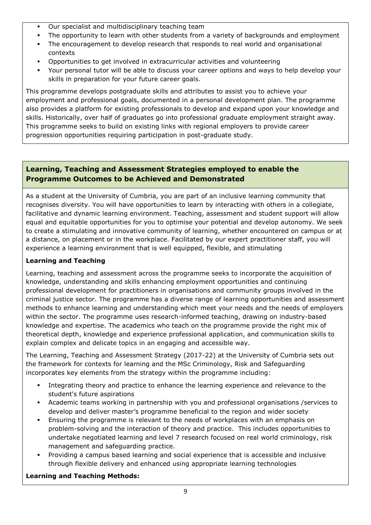- Our specialist and multidisciplinary teaching team
- The opportunity to learn with other students from a variety of backgrounds and employment
- The encouragement to develop research that responds to real world and organisational contexts
- Opportunities to get involved in extracurricular activities and volunteering
- Your personal tutor will be able to discuss your career options and ways to help develop your skills in preparation for your future career goals.

This programme develops postgraduate skills and attributes to assist you to achieve your employment and professional goals, documented in a personal development plan. The programme also provides a platform for existing professionals to develop and expand upon your knowledge and skills. Historically, over half of graduates go into professional graduate employment straight away. This programme seeks to build on existing links with regional employers to provide career progression opportunities requiring participation in post-graduate study.

# **Learning, Teaching and Assessment Strategies employed to enable the Programme Outcomes to be Achieved and Demonstrated**

As a student at the University of Cumbria, you are part of an inclusive learning community that recognises diversity. You will have opportunities to learn by interacting with others in a collegiate, facilitative and dynamic learning environment. Teaching, assessment and student support will allow equal and equitable opportunities for you to optimise your potential and develop autonomy. We seek to create a stimulating and innovative community of learning, whether encountered on campus or at a distance, on placement or in the workplace. Facilitated by our expert practitioner staff, you will experience a learning environment that is well equipped, flexible, and stimulating

## **Learning and Teaching**

Learning, teaching and assessment across the programme seeks to incorporate the acquisition of knowledge, understanding and skills enhancing employment opportunities and continuing professional development for practitioners in organisations and community groups involved in the criminal justice sector. The programme has a diverse range of learning opportunities and assessment methods to enhance learning and understanding which meet your needs and the needs of employers within the sector. The programme uses research-informed teaching, drawing on industry-based knowledge and expertise. The academics who teach on the programme provide the right mix of theoretical depth, knowledge and experience professional application, and communication skills to explain complex and delicate topics in an engaging and accessible way.

The Learning, Teaching and Assessment Strategy (2017-22) at the University of Cumbria sets out the framework for contexts for learning and the MSc Criminology, Risk and Safeguarding incorporates key elements from the strategy within the programme including:

- Integrating theory and practice to enhance the learning experience and relevance to the student's future aspirations
- Academic teams working in partnership with you and professional organisations /services to develop and deliver master's programme beneficial to the region and wider society
- Ensuring the programme is relevant to the needs of workplaces with an emphasis on problem-solving and the interaction of theory and practice. This includes opportunities to undertake negotiated learning and level 7 research focused on real world criminology, risk management and safeguarding practice.
- Providing a campus based learning and social experience that is accessible and inclusive through flexible delivery and enhanced using appropriate learning technologies

# **Learning and Teaching Methods:**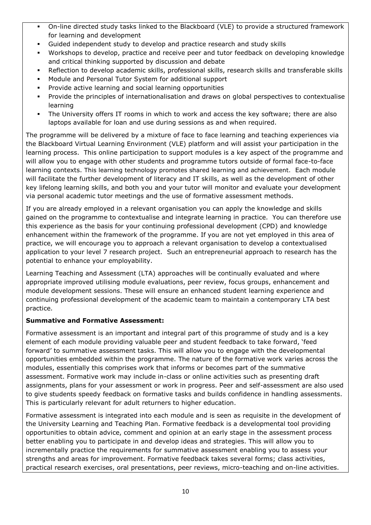- On-line directed study tasks linked to the Blackboard (VLE) to provide a structured framework for learning and development
- Guided independent study to develop and practice research and study skills
- Workshops to develop, practice and receive peer and tutor feedback on developing knowledge and critical thinking supported by discussion and debate
- Reflection to develop academic skills, professional skills, research skills and transferable skills
- Module and Personal Tutor System for additional support
- **Provide active learning and social learning opportunities**
- Provide the principles of internationalisation and draws on global perspectives to contextualise learning
- The University offers IT rooms in which to work and access the key software; there are also laptops available for loan and use during sessions as and when required.

The programme will be delivered by a mixture of face to face learning and teaching experiences via the Blackboard Virtual Learning Environment (VLE) platform and will assist your participation in the learning process. This online participation to support modules is a key aspect of the programme and will allow you to engage with other students and programme tutors outside of formal face-to-face learning contexts. This learning technology promotes shared learning and achievement. Each module will facilitate the further development of literacy and IT skills, as well as the development of other key lifelong learning skills, and both you and your tutor will monitor and evaluate your development via personal academic tutor meetings and the use of formative assessment methods.

If you are already employed in a relevant organisation you can apply the knowledge and skills gained on the programme to contextualise and integrate learning in practice. You can therefore use this experience as the basis for your continuing professional development (CPD) and knowledge enhancement within the framework of the programme. If you are not yet employed in this area of practice, we will encourage you to approach a relevant organisation to develop a contextualised application to your level 7 research project. Such an entrepreneurial approach to research has the potential to enhance your employability.

Learning Teaching and Assessment (LTA) approaches will be continually evaluated and where appropriate improved utilising module evaluations, peer review, focus groups, enhancement and module development sessions. These will ensure an enhanced student learning experience and continuing professional development of the academic team to maintain a contemporary LTA best practice.

## **Summative and Formative Assessment:**

Formative assessment is an important and integral part of this programme of study and is a key element of each module providing valuable peer and student feedback to take forward, 'feed forward' to summative assessment tasks. This will allow you to engage with the developmental opportunities embedded within the programme. The nature of the formative work varies across the modules, essentially this comprises work that informs or becomes part of the summative assessment. Formative work may include in-class or online activities such as presenting draft assignments, plans for your assessment or work in progress. Peer and self-assessment are also used to give students speedy feedback on formative tasks and builds confidence in handling assessments. This is particularly relevant for adult returners to higher education.

Formative assessment is integrated into each module and is seen as requisite in the development of the University Learning and Teaching Plan. Formative feedback is a developmental tool providing opportunities to obtain advice, comment and opinion at an early stage in the assessment process better enabling you to participate in and develop ideas and strategies. This will allow you to incrementally practice the requirements for summative assessment enabling you to assess your strengths and areas for improvement. Formative feedback takes several forms; class activities, practical research exercises, oral presentations, peer reviews, micro-teaching and on-line activities.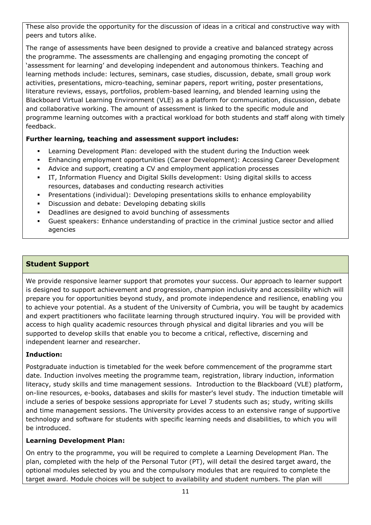These also provide the opportunity for the discussion of ideas in a critical and constructive way with peers and tutors alike.

The range of assessments have been designed to provide a creative and balanced strategy across the programme. The assessments are challenging and engaging promoting the concept of 'assessment for learning' and developing independent and autonomous thinkers. Teaching and learning methods include: lectures, seminars, case studies, discussion, debate, small group work activities, presentations, micro-teaching, seminar papers, report writing, poster presentations, literature reviews, essays, portfolios, problem-based learning, and blended learning using the Blackboard Virtual Learning Environment (VLE) as a platform for communication, discussion, debate and collaborative working. The amount of assessment is linked to the specific module and programme learning outcomes with a practical workload for both students and staff along with timely feedback.

## **Further learning, teaching and assessment support includes:**

- Learning Development Plan: developed with the student during the Induction week
- Enhancing employment opportunities (Career Development): Accessing Career Development
- Advice and support, creating a CV and employment application processes
- IT, Information Fluency and Digital Skills development: Using digital skills to access resources, databases and conducting research activities
- Presentations (individual): Developing presentations skills to enhance employability
- Discussion and debate: Developing debating skills
- **•** Deadlines are designed to avoid bunching of assessments
- Guest speakers: Enhance understanding of practice in the criminal justice sector and allied agencies

# **Student Support**

We provide responsive learner support that promotes your success. Our approach to learner support is designed to support achievement and progression, champion inclusivity and accessibility which will prepare you for opportunities beyond study, and promote independence and resilience, enabling you to achieve your potential. As a student of the University of Cumbria, you will be taught by academics and expert practitioners who facilitate learning through structured inquiry. You will be provided with access to high quality academic resources through physical and digital libraries and you will be supported to develop skills that enable you to become a critical, reflective, discerning and independent learner and researcher.

## **Induction:**

Postgraduate induction is timetabled for the week before commencement of the programme start date. Induction involves meeting the programme team, registration, library induction, information literacy, study skills and time management sessions. Introduction to the Blackboard (VLE) platform, on-line resources, e-books, databases and skills for master's level study. The induction timetable will include a series of bespoke sessions appropriate for Level 7 students such as; study, writing skills and time management sessions. The University provides access to an extensive range of supportive technology and software for students with specific learning needs and disabilities, to which you will be introduced.

## **Learning Development Plan:**

On entry to the programme, you will be required to complete a Learning Development Plan. The plan, completed with the help of the Personal Tutor (PT), will detail the desired target award, the optional modules selected by you and the compulsory modules that are required to complete the target award. Module choices will be subject to availability and student numbers. The plan will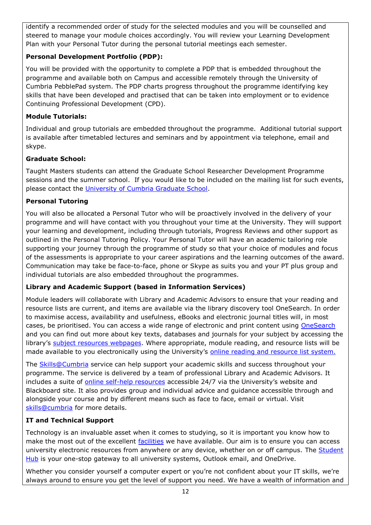identify a recommended order of study for the selected modules and you will be counselled and steered to manage your module choices accordingly. You will review your Learning Development Plan with your Personal Tutor during the personal tutorial meetings each semester.

## **Personal Development Portfolio (PDP):**

You will be provided with the opportunity to complete a PDP that is embedded throughout the programme and available both on Campus and accessible remotely through the University of Cumbria PebblePad system. The PDP charts progress throughout the programme identifying key skills that have been developed and practised that can be taken into employment or to evidence Continuing Professional Development (CPD).

## **Module Tutorials:**

Individual and group tutorials are embedded throughout the programme. Additional tutorial support is available after timetabled lectures and seminars and by appointment via telephone, email and skype.

## **Graduate School:**

Taught Masters students can attend the Graduate School Researcher Development Programme sessions and the summer school. If you would like to be included on the mailing list for such events, please contact the University of Cumbria Graduate School.

## **Personal Tutoring**

You will also be allocated a Personal Tutor who will be proactively involved in the delivery of your programme and will have contact with you throughout your time at the University. They will support your learning and development, including through tutorials, Progress Reviews and other support as outlined in the Personal Tutoring Policy. Your Personal Tutor will have an academic tailoring role supporting your journey through the programme of study so that your choice of modules and focus of the assessments is appropriate to your career aspirations and the learning outcomes of the award. Communication may take be face-to-face, phone or Skype as suits you and your PT plus group and individual tutorials are also embedded throughout the programmes.

# **Library and Academic Support (based in Information Services)**

Module leaders will collaborate with Library and Academic Advisors to ensure that your reading and resource lists are current, and items are available via the library discovery tool OneSearch. In order to maximise access, availability and usefulness, eBooks and electronic journal titles will, in most cases, be prioritised. You can access a wide range of electronic and print content using [OneSearch](http://cumbria-primo.hosted.exlibrisgroup.com/primo_library/libweb/action/search.do?vid=44UOC_VU1) and you can find out more about key texts, databases and journals for your subject by accessing the library's [subject resources webpages.](http://my.cumbria.ac.uk/StudentLife/Learning/Resources/Subjects/Home.aspx) Where appropriate, module reading, and resource lists will be made available to you electronically using the University's [online reading and resource list system.](https://eu.alma.exlibrisgroup.com/leganto/readinglist/lists)

The **Skills@Cumbria** service can help support your academic skills and success throughout your programme. The service is delivered by a team of professional Library and Academic Advisors. It includes a suite of [online self-help resources](https://my.cumbria.ac.uk/Student-Life/Learning/Skills-Cumbria/) accessible 24/7 via the University's website and Blackboard site. It also provides group and individual advice and guidance accessible through and alongside your course and by different means such as face to face, email or virtual. Visit [skills@cumbria](https://my.cumbria.ac.uk/Student-Life/Learning/Skills-Cumbria/) for more details.

# **IT and Technical Support**

Technology is an invaluable asset when it comes to studying, so it is important you know how to make the most out of the excellent [facilities](https://www.cumbria.ac.uk/student-life/facilities/it-facilities/) we have available. Our aim is to ensure you can access university electronic resources from anywhere or any device, whether on or off campus. The **Student** [Hub](https://universityofcumbria.mydaycloud.com/dashboard/allsorts) is your one-stop gateway to all university systems, Outlook email, and OneDrive.

Whether you consider yourself a computer expert or you're not confident about your IT skills, we're always around to ensure you get the level of support you need. We have a wealth of information and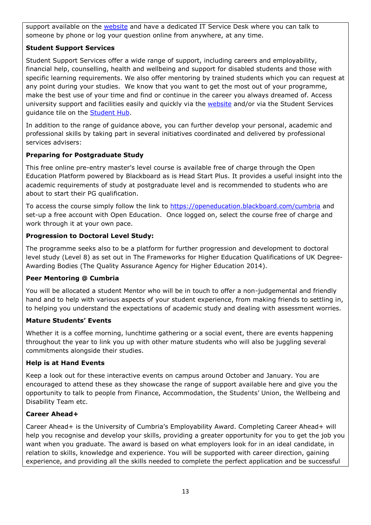support available on the [website](https://my.cumbria.ac.uk/Student-Life/it-media/) and have a dedicated IT Service Desk where you can talk to someone by phone or log your question online from anywhere, at any time.

## **Student Support Services**

Student Support Services offer a wide range of support, including careers and employability, financial help, counselling, health and wellbeing and support for disabled students and those with specific learning requirements. We also offer mentoring by trained students which you can request at any point during your studies. We know that you want to get the most out of your programme, make the best use of your time and find or continue in the career you always dreamed of. Access university support and facilities easily and quickly via the [website](https://my.cumbria.ac.uk/) and/or via the Student Services guidance tile on the [Student Hub.](https://universityofcumbria.mydaycloud.com/dashboard/staff-home)

In addition to the range of guidance above, you can further develop your personal, academic and professional skills by taking part in several initiatives coordinated and delivered by professional services advisers:

## **Preparing for Postgraduate Study**

This free online pre-entry master's level course is available free of charge through the Open Education Platform powered by Blackboard as is Head Start Plus. It provides a useful insight into the academic requirements of study at postgraduate level and is recommended to students who are about to start their PG qualification.

To access the course simply follow the link to<https://openeducation.blackboard.com/cumbria> and set-up a free account with Open Education. Once logged on, select the course free of charge and work through it at your own pace.

## **Progression to Doctoral Level Study:**

The programme seeks also to be a platform for further progression and development to doctoral level study (Level 8) as set out in The Frameworks for Higher Education Qualifications of UK Degree-Awarding Bodies (The Quality Assurance Agency for Higher Education 2014).

## **Peer Mentoring @ Cumbria**

You will be allocated a student Mentor who will be in touch to offer a non-judgemental and friendly hand and to help with various aspects of your student experience, from making friends to settling in, to helping you understand the expectations of academic study and dealing with assessment worries.

## **Mature Students' Events**

Whether it is a coffee morning, lunchtime gathering or a social event, there are events happening throughout the year to link you up with other mature students who will also be juggling several commitments alongside their studies.

# **Help is at Hand Events**

Keep a look out for these interactive events on campus around October and January. You are encouraged to attend these as they showcase the range of support available here and give you the opportunity to talk to people from Finance, Accommodation, the Students' Union, the Wellbeing and Disability Team etc.

## **Career Ahead+**

Career Ahead+ is the University of Cumbria's Employability Award. Completing Career Ahead+ will help you recognise and develop your skills, providing a greater opportunity for you to get the job you want when you graduate. The award is based on what employers look for in an ideal candidate, in relation to skills, knowledge and experience. You will be supported with career direction, gaining experience, and providing all the skills needed to complete the perfect application and be successful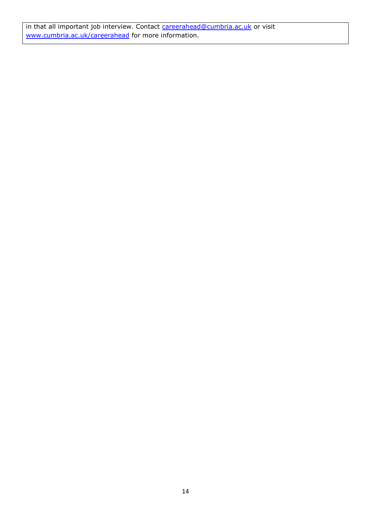in that all important job interview. Contact [careerahead@cumbria.ac.uk](mailto:careerahead@cumbria.ac.uk) or visit [www.cumbria.ac.uk/careerahead](http://www.cumbria.ac.uk/careerahead) for more information.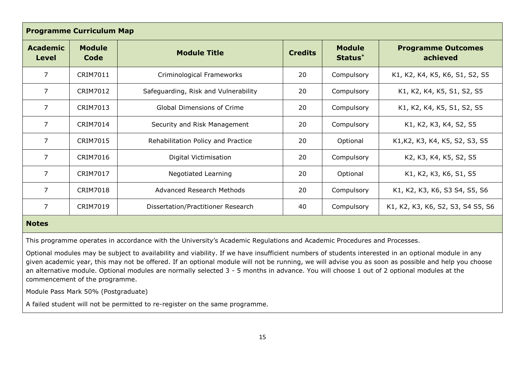| <b>Programme Curriculum Map</b> |                       |                                      |                |                                      |                                       |
|---------------------------------|-----------------------|--------------------------------------|----------------|--------------------------------------|---------------------------------------|
| <b>Academic</b><br>Level        | <b>Module</b><br>Code | <b>Module Title</b>                  | <b>Credits</b> | <b>Module</b><br>Status <sup>*</sup> | <b>Programme Outcomes</b><br>achieved |
| 7                               | CRIM7011              | Criminological Frameworks            | 20             | Compulsory                           | K1, K2, K4, K5, K6, S1, S2, S5        |
| 7                               | <b>CRIM7012</b>       | Safeguarding, Risk and Vulnerability | 20             | Compulsory                           | K1, K2, K4, K5, S1, S2, S5            |
| $\overline{7}$                  | CRIM7013              | <b>Global Dimensions of Crime</b>    | 20             | Compulsory                           | K1, K2, K4, K5, S1, S2, S5            |
| $\overline{7}$                  | CRIM7014              | Security and Risk Management         | 20             | Compulsory                           | K1, K2, K3, K4, S2, S5                |
| $\overline{7}$                  | <b>CRIM7015</b>       | Rehabilitation Policy and Practice   | 20             | Optional                             | K1, K2, K3, K4, K5, S2, S3, S5        |
| $\overline{7}$                  | <b>CRIM7016</b>       | Digital Victimisation                | 20             | Compulsory                           | K2, K3, K4, K5, S2, S5                |
| 7                               | <b>CRIM7017</b>       | <b>Negotiated Learning</b>           | 20             | Optional                             | K1, K2, K3, K6, S1, S5                |
| $\overline{7}$                  | <b>CRIM7018</b>       | <b>Advanced Research Methods</b>     | 20             | Compulsory                           | K1, K2, K3, K6, S3 S4, S5, S6         |
| $\overline{7}$                  | <b>CRIM7019</b>       | Dissertation/Practitioner Research   | 40             | Compulsory                           | K1, K2, K3, K6, S2, S3, S4 S5, S6     |

#### **Notes**

This programme operates in accordance with the University's Academic Regulations and Academic Procedures and Processes.

Optional modules may be subject to availability and viability. If we have insufficient numbers of students interested in an optional module in any given academic year, this may not be offered. If an optional module will not be running, we will advise you as soon as possible and help you choose an alternative module. Optional modules are normally selected 3 - 5 months in advance. You will choose 1 out of 2 optional modules at the commencement of the programme.

Module Pass Mark 50% (Postgraduate)

A failed student will not be permitted to re-register on the same programme.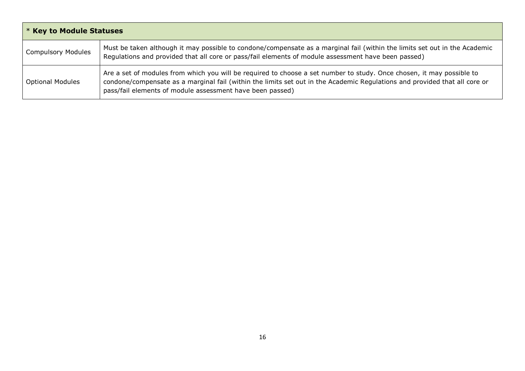| <b>* Key to Module Statuses</b> |                                                                                                                                                                                                                                                                                                                  |  |  |
|---------------------------------|------------------------------------------------------------------------------------------------------------------------------------------------------------------------------------------------------------------------------------------------------------------------------------------------------------------|--|--|
| <b>Compulsory Modules</b>       | Must be taken although it may possible to condone/compensate as a marginal fail (within the limits set out in the Academic<br>Regulations and provided that all core or pass/fail elements of module assessment have been passed)                                                                                |  |  |
| <b>Optional Modules</b>         | Are a set of modules from which you will be required to choose a set number to study. Once chosen, it may possible to<br>condone/compensate as a marginal fail (within the limits set out in the Academic Regulations and provided that all core or<br>pass/fail elements of module assessment have been passed) |  |  |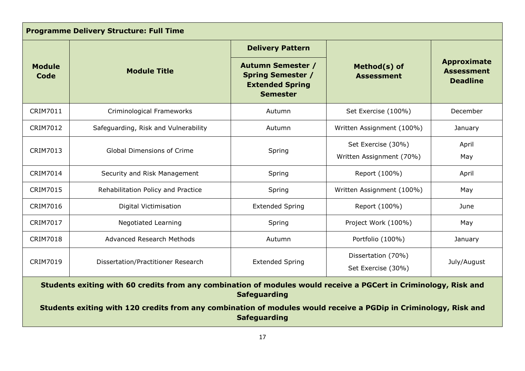| <b>Programme Delivery Structure: Full Time</b>                                                                                          |                                      |                                                                                                   |                                                |                                                            |
|-----------------------------------------------------------------------------------------------------------------------------------------|--------------------------------------|---------------------------------------------------------------------------------------------------|------------------------------------------------|------------------------------------------------------------|
|                                                                                                                                         |                                      | <b>Delivery Pattern</b>                                                                           |                                                |                                                            |
| <b>Module</b><br>Code                                                                                                                   | <b>Module Title</b>                  | <b>Autumn Semester /</b><br><b>Spring Semester /</b><br><b>Extended Spring</b><br><b>Semester</b> | Method(s) of<br><b>Assessment</b>              | <b>Approximate</b><br><b>Assessment</b><br><b>Deadline</b> |
| CRIM7011                                                                                                                                | Criminological Frameworks            | Autumn                                                                                            | Set Exercise (100%)                            | December                                                   |
| CRIM7012                                                                                                                                | Safeguarding, Risk and Vulnerability | Autumn                                                                                            | Written Assignment (100%)                      | January                                                    |
| <b>CRIM7013</b>                                                                                                                         | <b>Global Dimensions of Crime</b>    | Spring                                                                                            | Set Exercise (30%)<br>Written Assignment (70%) | April<br>May                                               |
| <b>CRIM7014</b>                                                                                                                         | Security and Risk Management         | Spring                                                                                            | Report (100%)                                  | April                                                      |
| <b>CRIM7015</b>                                                                                                                         | Rehabilitation Policy and Practice   | Spring                                                                                            | Written Assignment (100%)                      | May                                                        |
| CRIM7016                                                                                                                                | Digital Victimisation                | <b>Extended Spring</b>                                                                            | Report (100%)                                  | June                                                       |
| <b>CRIM7017</b>                                                                                                                         | <b>Negotiated Learning</b>           | Spring                                                                                            | Project Work (100%)                            | May                                                        |
| <b>CRIM7018</b>                                                                                                                         | <b>Advanced Research Methods</b>     | Autumn                                                                                            | Portfolio (100%)                               | January                                                    |
| <b>CRIM7019</b>                                                                                                                         | Dissertation/Practitioner Research   | <b>Extended Spring</b>                                                                            | Dissertation (70%)<br>Set Exercise (30%)       | July/August                                                |
| Students exiting with 60 credits from any combination of modules would receive a PGCert in Criminology, Risk and<br><b>Safeguarding</b> |                                      |                                                                                                   |                                                |                                                            |
| Students exiting with 120 credits from any combination of modules would receive a PGDip in Criminology, Risk and<br><b>Safeguarding</b> |                                      |                                                                                                   |                                                |                                                            |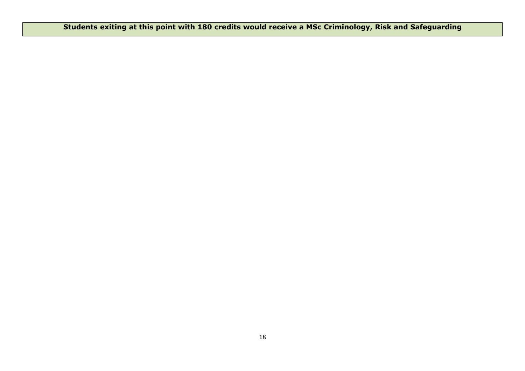**Students exiting at this point with 180 credits would receive a MSc Criminology, Risk and Safeguarding**